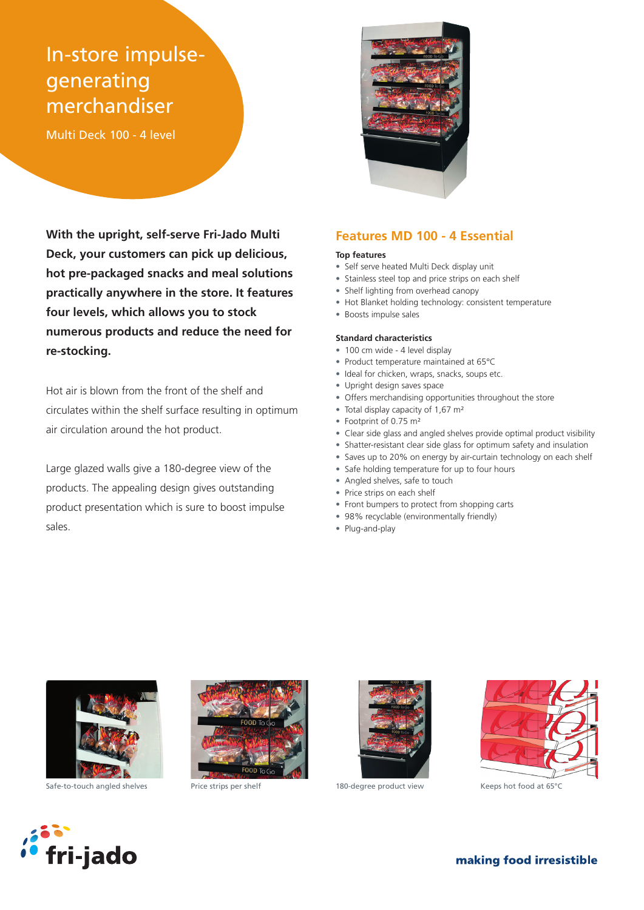# In-store impulsegenerating merchandiser

Multi Deck 100 - 4 level

**With the upright, self-serve Fri-Jado Multi Deck, your customers can pick up delicious, hot pre-packaged snacks and meal solutions practically anywhere in the store. It features four levels, which allows you to stock numerous products and reduce the need for re-stocking.**

Hot air is blown from the front of the shelf and circulates within the shelf surface resulting in optimum air circulation around the hot product.

Large glazed walls give a 180-degree view of the products. The appealing design gives outstanding product presentation which is sure to boost impulse sales.



### **Features MD 100 - 4 Essential**

#### **Top features**

- Self serve heated Multi Deck display unit
- Stainless steel top and price strips on each shelf
- Shelf lighting from overhead canopy
- Hot Blanket holding technology: consistent temperature

## • Boosts impulse sales **Standard characteristics**

- 100 cm wide 4 level display
- Product temperature maintained at 65°C
- Ideal for chicken, wraps, snacks, soups etc.
- Upright design saves space
- Offers merchandising opportunities throughout the store
- Total display capacity of 1,67 m<sup>2</sup>
- Footprint of 0.75 m²
- Clear side glass and angled shelves provide optimal product visibility
- Shatter-resistant clear side glass for optimum safety and insulation
- Saves up to 20% on energy by air-curtain technology on each shelf
- Safe holding temperature for up to four hours
- Angled shelves, safe to touch
- Price strips on each shelf
- Front bumpers to protect from shopping carts
- 98% recyclable (environmentally friendly)
- Plug-and-play



Safe-to-touch angled shelves Price strips per shelf 180-degree product view Keeps hot food at 65°C







f**ri-jado** 

making food irresistible